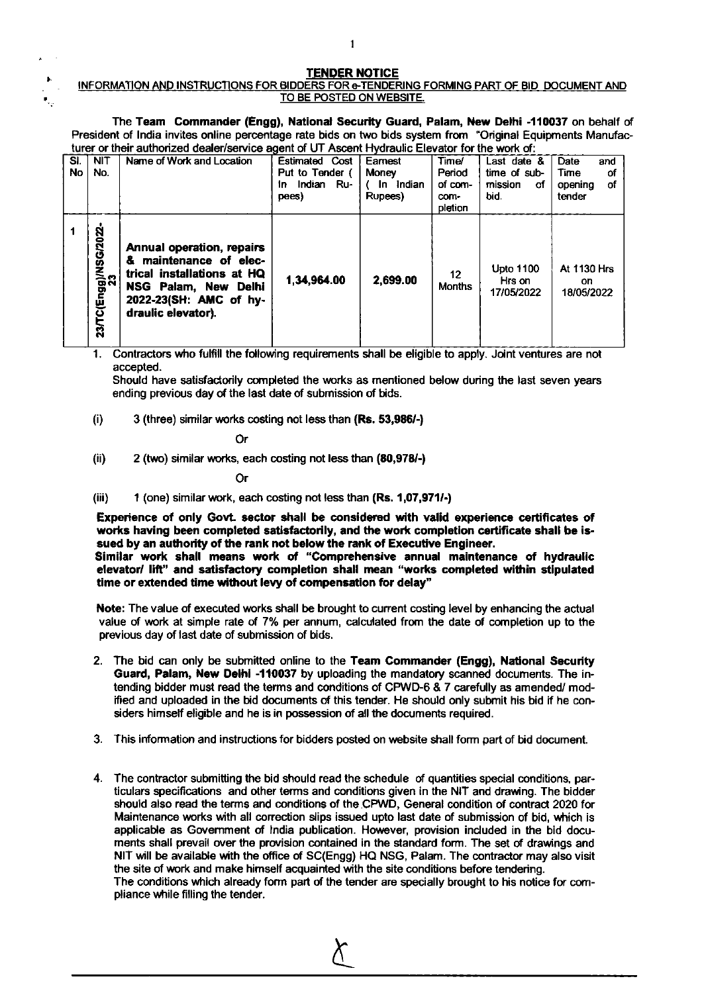## TENDER NOTICE

## INFORMATION AND INSTRUCTIONS FOR BIDDERS FOR e-TENDERING FORMING PART OF BID DOCUMENT AND TO BE POSTED ON WEBSITE.

The Team Commander (Engg), National Security Guard, Palam, New Delhi -110037 on behalf of President of India invites online percentage rate bids on two bids system from "Original Equipments Manufacturer or their authorized dealer/service agent of UT Ascent Hydraulic Elevator for the work of:

| $\overline{\mathsf{SI}}$<br>No | <b>NIT</b><br>No.          | Name of Work and Location                                                                                                                                        | <b>Estimated Cost</b><br>Put to Tender (<br>Indian Ru-<br>In<br>pees) | Earnest<br>Money<br>In Indian<br>Rupees) | Time/<br>Period<br>of com-<br>com-<br>pletion | Last date &<br>time of sub-<br>mission<br>οf<br>bid. | Date<br>and<br>Time<br>Οf<br>of<br>opening<br>tender |
|--------------------------------|----------------------------|------------------------------------------------------------------------------------------------------------------------------------------------------------------|-----------------------------------------------------------------------|------------------------------------------|-----------------------------------------------|------------------------------------------------------|------------------------------------------------------|
|                                | 23/TC(Engg)/NSG/2022<br>23 | <b>Annual operation, repairs</b><br>& maintenance of elec-<br>trical installations at HQ<br>NSG Palam, New Delhi<br>2022-23(SH: AMC of hy-<br>draulic elevator). | 1,34,964.00                                                           | 2,699.00                                 | 12<br><b>Months</b>                           | <b>Upto 1100</b><br>Hrs on<br>17/05/2022             | At 1130 Hrs<br>on<br>18/05/2022                      |

1. Contractors who fulfill the following requirements shall be eligible to apply. Joint ventures are not accepted.

Should have satisfactorily completed the works as mentioned below during the last seven years ending previous day of the last date of submission of bids.

(i) 3 (three) similar works costing not less than (Rs. 53,986/-)

Or

!

 $(ii)$  2 (two) similar works, each costing not less than  $(80,978/-)$ 

Or

(iii)  $1$  (one) similar work, each costing not less than (Rs. 1,07,971/-)

Experience of only Govt. sector shall be considered with valid experience certificates of works having been completed satisfactorily, and the work completion certificate shall be issued by an authority of the rank not below the rank of Executive Engineer.

Similar work shall means work of "Comprehensive annual maintenance of hydraulic elevator/ lift" and satisfactory completion shall mean "works completed within stipulated time or extended time without levy of compensation for delay"

Note: The value of executed works shall be brought to current costing level by enhancing the actual value of work at simple rate of 7% per annum, calculated from the date of completion up to the previous day of last date of submission of bids.

- 2. The bid can only be submitted online to the Team Commander (Engg), National Security Guard, Palam, New Delhi -110037 by uploading the mandatory scanned documents. The intending bidder must read the terms and conditions of CPWD-6 & 7 carefully as amended/ modified and uploaded in the bid documents of this tender. He should only submit his bid if he considers himself eligible and he is in possession of all the documents required.
- 3. This information and instructions for bidders posted on website shall form part of bid document.
- 4. The contractor submitting the bid should read the schedule of quantities special conditions, particulars specifications and other terms and conditions given in the NIT and drawing. The bidder should also read the terms and conditions of the CPWD, General condition of contract 2020 for Maintenance works with all correction slips issued upto last date of submission of bid, which is applicable as Government of India publication. However, provision included in the bid documents shall prevail over the provision contained in the standard form. The set of drawings and NIT will be available with the office of SC(Engg) HQ NSG, Palam. The contractor may also visit the site of work and make himself acquainted with the site conditions before tendering. The conditions which already form part of the tender are specially brought to his notice for compliance while filling the tender.

 $\cup$